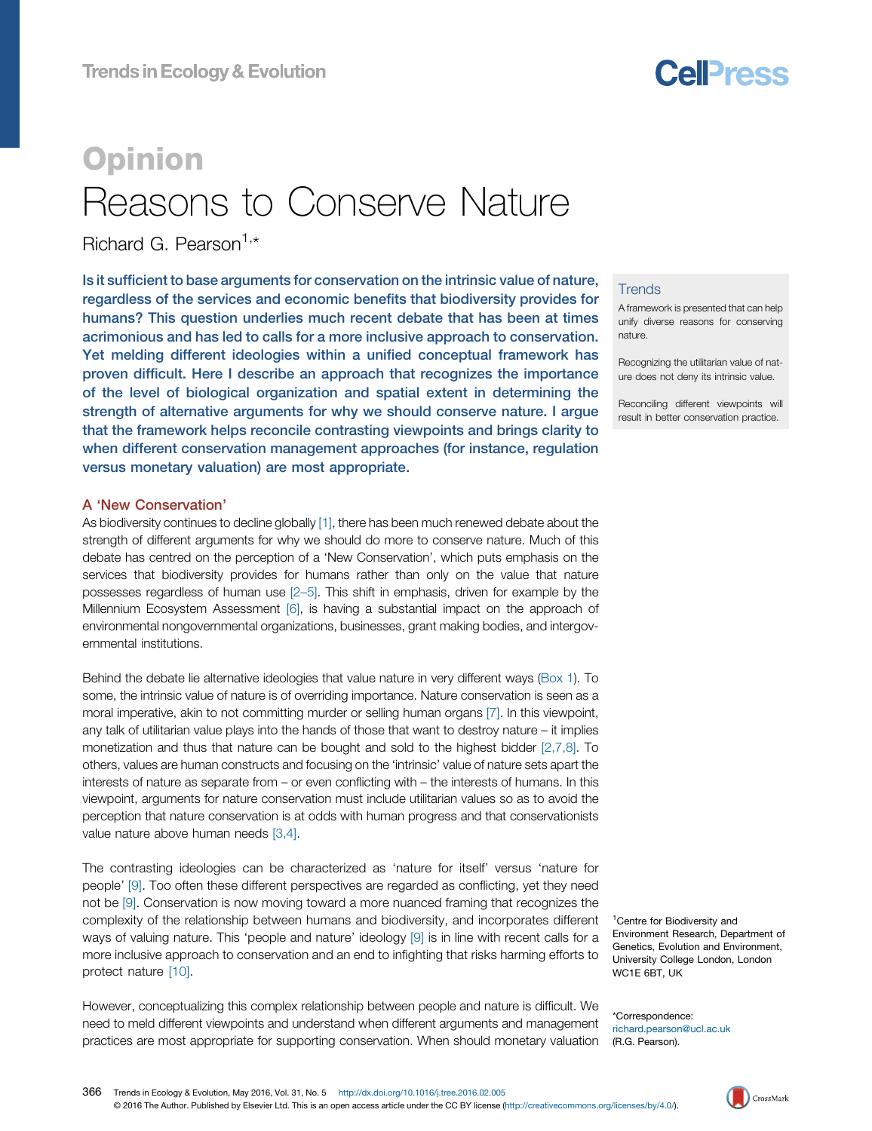

# **Opinion** Reasons to Conserve Nature

Richard G. Pearson<sup>1,\*</sup>

Is it sufficient to base arguments for conservation on the intrinsic value of nature, regardless of the services and economic benefits that biodiversity provides for humans? This question underlies much recent debate that has been at times acrimonious and has led to calls for a more inclusive approach to conservation. Yet melding different ideologies within a unified conceptual framework has proven difficult. Here I describe an approach that recognizes the importance of the level of biological organization and spatial extent in determining the strength of alternative arguments for why we should conserve nature. I argue that the framework helps reconcile contrasting viewpoints and brings clarity to when different conservation management approaches (for instance, regulation versus monetary valuation) are most appropriate.

# A 'New Conservation'

As biodiversity continues to decline globally [\[1\],](#page-5-0) there has been much renewed debate about the strength of different arguments for why we should do more to conserve nature. Much of this debate has centred on the perception of a 'New Conservation', which puts emphasis on the services that biodiversity provides for humans rather than only on the value that nature possesses regardless of human use [2–[5\].](#page-5-0) This shift in emphasis, driven for example by the Millennium Ecosystem Assessment [\[6\]](#page-5-0), is having a substantial impact on the approach of environmental nongovernmental organizations, businesses, grant making bodies, and intergovernmental institutions.

Behind the debate lie alternative ideologies that value nature in very different ways [\(Box](#page-1-0) 1). To some, the intrinsic value of nature is of overriding importance. Nature conservation is seen as a moral imperative, akin to not committing murder or selling human organs [\[7\].](#page-5-0) In this viewpoint, any talk of utilitarian value plays into the hands of those that want to destroy nature – it implies monetization and thus that nature can be bought and sold to the highest bidder [\[2,7,8\].](#page-5-0) To others, values are human constructs and focusing on the 'intrinsic' value of nature sets apart the interests of nature as separate from – or even conflicting with – the interests of humans. In this viewpoint, arguments for nature conservation must include utilitarian values so as to avoid the perception that nature conservation is at odds with human progress and that conservationists value nature above human needs [\[3,4\]](#page-5-0).

The contrasting ideologies can be characterized as 'nature for itself' versus 'nature for people' [\[9\]](#page-5-0). Too often these different perspectives are regarded as conflicting, yet they need not be [\[9\]](#page-5-0). Conservation is now moving toward a more nuanced framing that recognizes the complexity of the relationship between humans and biodiversity, and incorporates different ways of valuing nature. This 'people and nature' ideology [\[9\]](#page-5-0) is in line with recent calls for a more inclusive approach to conservation and an end to infighting that risks harming efforts to protect nature [\[10\]](#page-5-0).

However, conceptualizing this complex relationship between people and nature is difficult. We need to meld different viewpoints and understand when different arguments and management practices are most appropriate for supporting conservation. When should monetary valuation

#### **Trends**

A framework is presented that can help unify diverse reasons for conserving nature.

Recognizing the utilitarian value of nature does not deny its intrinsic value.

Reconciling different viewpoints will result in better conservation practice.

<sup>1</sup> Centre for Biodiversity and Environment Research, Department of Genetics, Evolution and Environment, University College London, London WC1E 6BT, UK

\*Correspondence: [richard.pearson@ucl.ac.uk](mailto:richard.pearson@ucl.ac.uk) (R.G. Pearson).

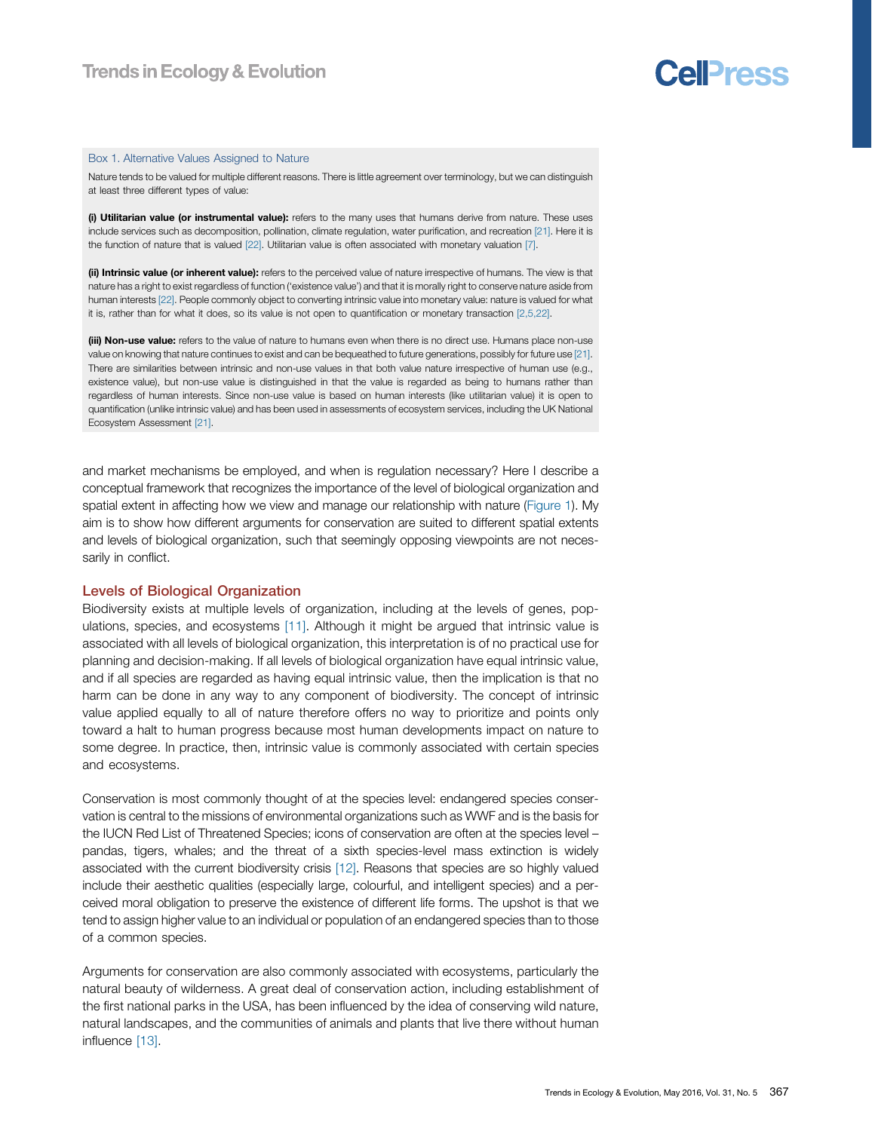# CAPrass

#### <span id="page-1-0"></span>Box 1. Alternative Values Assigned to Nature

Nature tends to be valued for multiple different reasons. There is little agreement over terminology, but we can distinguish at least three different types of value:

(i) Utilitarian value (or instrumental value): refers to the many uses that humans derive from nature. These uses include services such as decomposition, pollination, climate regulation, water purification, and recreation [\[21\].](#page-5-0) Here it is the function of nature that is valued [\[22\].](#page-5-0) Utilitarian value is often associated with monetary valuation [\[7\].](#page-5-0)

(ii) Intrinsic value (or inherent value): refers to the perceived value of nature irrespective of humans. The view is that nature has a right to exist regardless of function ('existence value') and that it is morally right to conserve nature aside from human interests [\[22\].](#page-5-0) People commonly object to converting intrinsic value into monetary value: nature is valued for what it is, rather than for what it does, so its value is not open to quantification or monetary transaction [\[2,5,22\]](#page-5-0).

(iii) Non-use value: refers to the value of nature to humans even when there is no direct use. Humans place non-use value on knowing that nature continues to exist and can be bequeathed to future generations, possibly for future use [\[21\]](#page-5-0). There are similarities between intrinsic and non-use values in that both value nature irrespective of human use (e.g., existence value), but non-use value is distinguished in that the value is regarded as being to humans rather than regardless of human interests. Since non-use value is based on human interests (like utilitarian value) it is open to quantification (unlike intrinsic value) and has been used in assessments of ecosystem services, including the UK National Ecosystem Assessment [\[21\].](#page-5-0)

and market mechanisms be employed, and when is regulation necessary? Here I describe a conceptual framework that recognizes the importance of the level of biological organization and spatial extent in affecting how we view and manage our relationship with nature ([Figure](#page-2-0) 1). My aim is to show how different arguments for conservation are suited to different spatial extents and levels of biological organization, such that seemingly opposing viewpoints are not necessarily in conflict.

#### Levels of Biological Organization

Biodiversity exists at multiple levels of organization, including at the levels of genes, populations, species, and ecosystems [\[11\].](#page-5-0) Although it might be argued that intrinsic value is associated with all levels of biological organization, this interpretation is of no practical use for planning and decision-making. If all levels of biological organization have equal intrinsic value, and if all species are regarded as having equal intrinsic value, then the implication is that no harm can be done in any way to any component of biodiversity. The concept of intrinsic value applied equally to all of nature therefore offers no way to prioritize and points only toward a halt to human progress because most human developments impact on nature to some degree. In practice, then, intrinsic value is commonly associated with certain species and ecosystems.

Conservation is most commonly thought of at the species level: endangered species conservation is central to the missions of environmental organizations such as WWF and is the basis for the IUCN Red List of Threatened Species; icons of conservation are often at the species level – pandas, tigers, whales; and the threat of a sixth species-level mass extinction is widely associated with the current biodiversity crisis [\[12\]](#page-5-0). Reasons that species are so highly valued include their aesthetic qualities (especially large, colourful, and intelligent species) and a perceived moral obligation to preserve the existence of different life forms. The upshot is that we tend to assign higher value to an individual or population of an endangered species than to those of a common species.

Arguments for conservation are also commonly associated with ecosystems, particularly the natural beauty of wilderness. A great deal of conservation action, including establishment of the first national parks in the USA, has been influenced by the idea of conserving wild nature, natural landscapes, and the communities of animals and plants that live there without human influence [\[13\]](#page-5-0).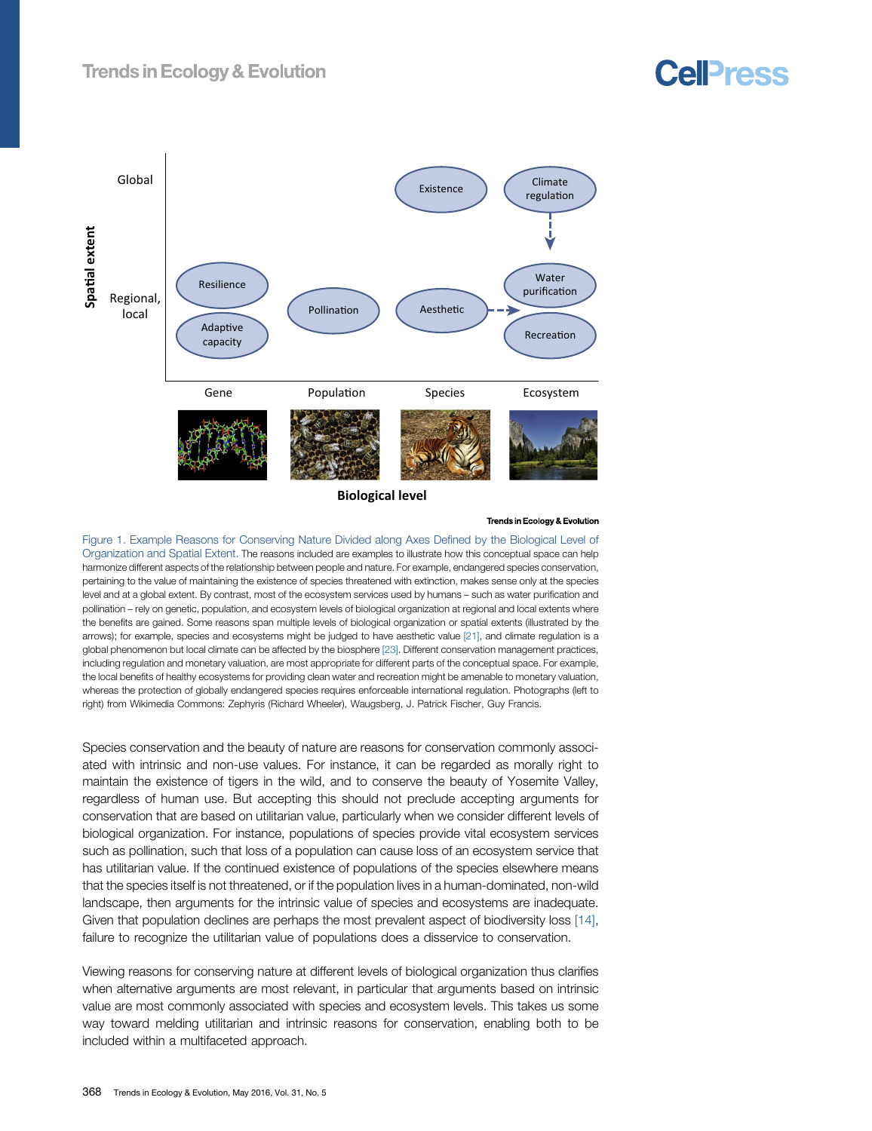# <span id="page-2-0"></span>**Trends in Ecology & Evolution**

# **Cell**ress



#### **Trends in Ecology & Evolution**

Figure 1. Example Reasons for Conserving Nature Divided along Axes Defined by the Biological Level of Organization and Spatial Extent. The reasons included are examples to illustrate how this conceptual space can help harmonize different aspects of the relationship between people and nature. For example, endangered species conservation, pertaining to the value of maintaining the existence of species threatened with extinction, makes sense only at the species level and at a global extent. By contrast, most of the ecosystem services used by humans – such as water purification and pollination – rely on genetic, population, and ecosystem levels of biological organization at regional and local extents where the benefits are gained. Some reasons span multiple levels of biological organization or spatial extents (illustrated by the arrows); for example, species and ecosystems might be judged to have aesthetic value [\[21\],](#page-5-0) and climate regulation is a global phenomenon but local climate can be affected by the biosphere [\[23\].](#page-5-0) Different conservation management practices, including regulation and monetary valuation, are most appropriate for different parts of the conceptual space. For example, the local benefits of healthy ecosystems for providing clean water and recreation might be amenable to monetary valuation, whereas the protection of globally endangered species requires enforceable international regulation. Photographs (left to right) from Wikimedia Commons: Zephyris (Richard Wheeler), Waugsberg, J. Patrick Fischer, Guy Francis.

Species conservation and the beauty of nature are reasons for conservation commonly associated with intrinsic and non-use values. For instance, it can be regarded as morally right to maintain the existence of tigers in the wild, and to conserve the beauty of Yosemite Valley, regardless of human use. But accepting this should not preclude accepting arguments for conservation that are based on utilitarian value, particularly when we consider different levels of biological organization. For instance, populations of species provide vital ecosystem services such as pollination, such that loss of a population can cause loss of an ecosystem service that has utilitarian value. If the continued existence of populations of the species elsewhere means that the species itself is not threatened, or if the population lives in a human-dominated, non-wild landscape, then arguments for the intrinsic value of species and ecosystems are inadequate. Given that population declines are perhaps the most prevalent aspect of biodiversity loss [\[14\],](#page-5-0) failure to recognize the utilitarian value of populations does a disservice to conservation.

Viewing reasons for conserving nature at different levels of biological organization thus clarifies when alternative arguments are most relevant, in particular that arguments based on intrinsic value are most commonly associated with species and ecosystem levels. This takes us some way toward melding utilitarian and intrinsic reasons for conservation, enabling both to be included within a multifaceted approach.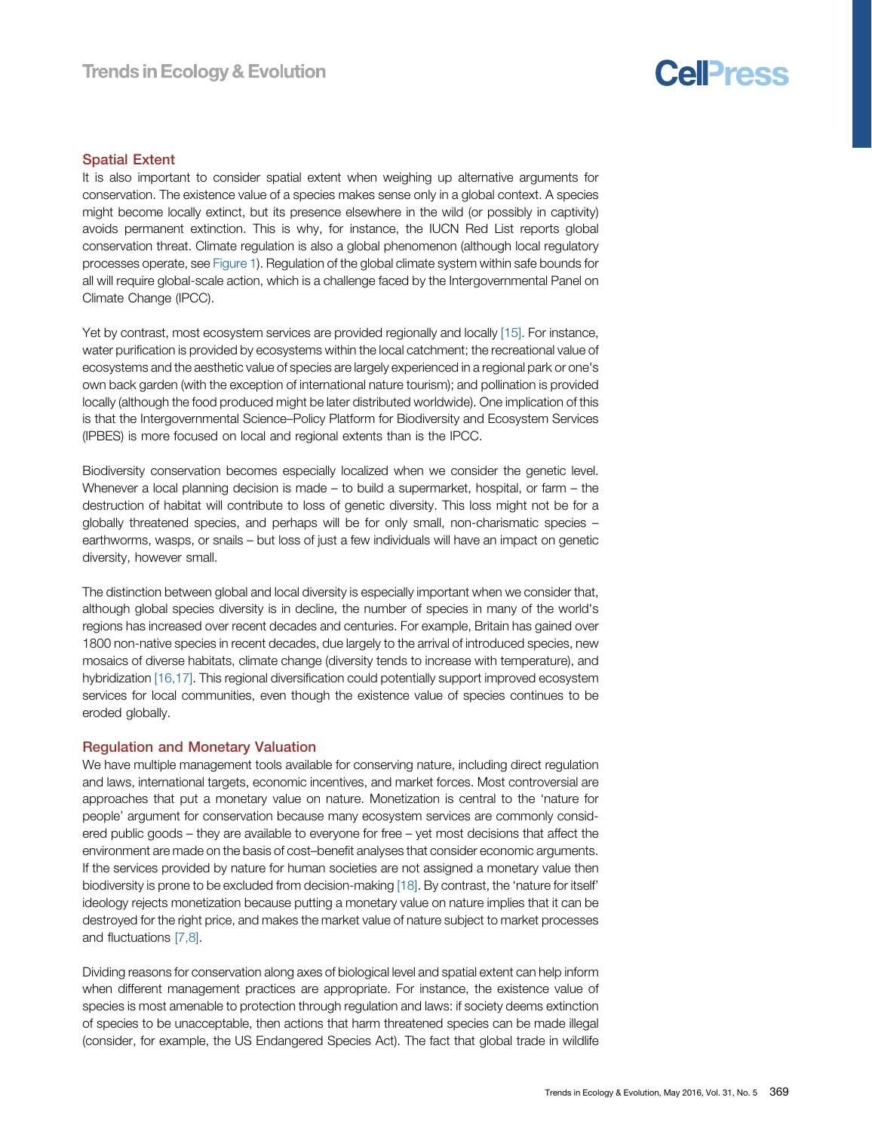

# Spatial Extent

It is also important to consider spatial extent when weighing up alternative arguments for conservation. The existence value of a species makes sense only in a global context. A species might become locally extinct, but its presence elsewhere in the wild (or possibly in captivity) avoids permanent extinction. This is why, for instance, the IUCN Red List reports global conservation threat. Climate regulation is also a global phenomenon (although local regulatory processes operate, see [Figure](#page-2-0) 1). Regulation of the global climate system within safe bounds for all will require global-scale action, which is a challenge faced by the Intergovernmental Panel on Climate Change (IPCC).

Yet by contrast, most ecosystem services are provided regionally and locally [\[15\].](#page-5-0) For instance, water purification is provided by ecosystems within the local catchment; the recreational value of ecosystems and the aesthetic value of species are largely experienced in a regional park or one's own back garden (with the exception of international nature tourism); and pollination is provided locally (although the food produced might be later distributed worldwide). One implication of this is that the Intergovernmental Science–Policy Platform for Biodiversity and Ecosystem Services (IPBES) is more focused on local and regional extents than is the IPCC.

Biodiversity conservation becomes especially localized when we consider the genetic level. Whenever a local planning decision is made – to build a supermarket, hospital, or farm – the destruction of habitat will contribute to loss of genetic diversity. This loss might not be for a globally threatened species, and perhaps will be for only small, non-charismatic species – earthworms, wasps, or snails – but loss of just a few individuals will have an impact on genetic diversity, however small.

The distinction between global and local diversity is especially important when we consider that, although global species diversity is in decline, the number of species in many of the world's regions has increased over recent decades and centuries. For example, Britain has gained over 1800 non-native species in recent decades, due largely to the arrival of introduced species, new mosaics of diverse habitats, climate change (diversity tends to increase with temperature), and hybridization [\[16,17\]](#page-5-0). This regional diversification could potentially support improved ecosystem services for local communities, even though the existence value of species continues to be eroded globally.

## Regulation and Monetary Valuation

We have multiple management tools available for conserving nature, including direct regulation and laws, international targets, economic incentives, and market forces. Most controversial are approaches that put a monetary value on nature. Monetization is central to the 'nature for people' argument for conservation because many ecosystem services are commonly considered public goods – they are available to everyone for free – yet most decisions that affect the environment are made on the basis of cost–benefit analyses that consider economic arguments. If the services provided by nature for human societies are not assigned a monetary value then biodiversity is prone to be excluded from decision-making [\[18\].](#page-5-0) By contrast, the 'nature for itself' ideology rejects monetization because putting a monetary value on nature implies that it can be destroyed for the right price, and makes the market value of nature subject to market processes and fluctuations [\[7,8\].](#page-5-0)

Dividing reasons for conservation along axes of biological level and spatial extent can help inform when different management practices are appropriate. For instance, the existence value of species is most amenable to protection through regulation and laws: if society deems extinction of species to be unacceptable, then actions that harm threatened species can be made illegal (consider, for example, the US Endangered Species Act). The fact that global trade in wildlife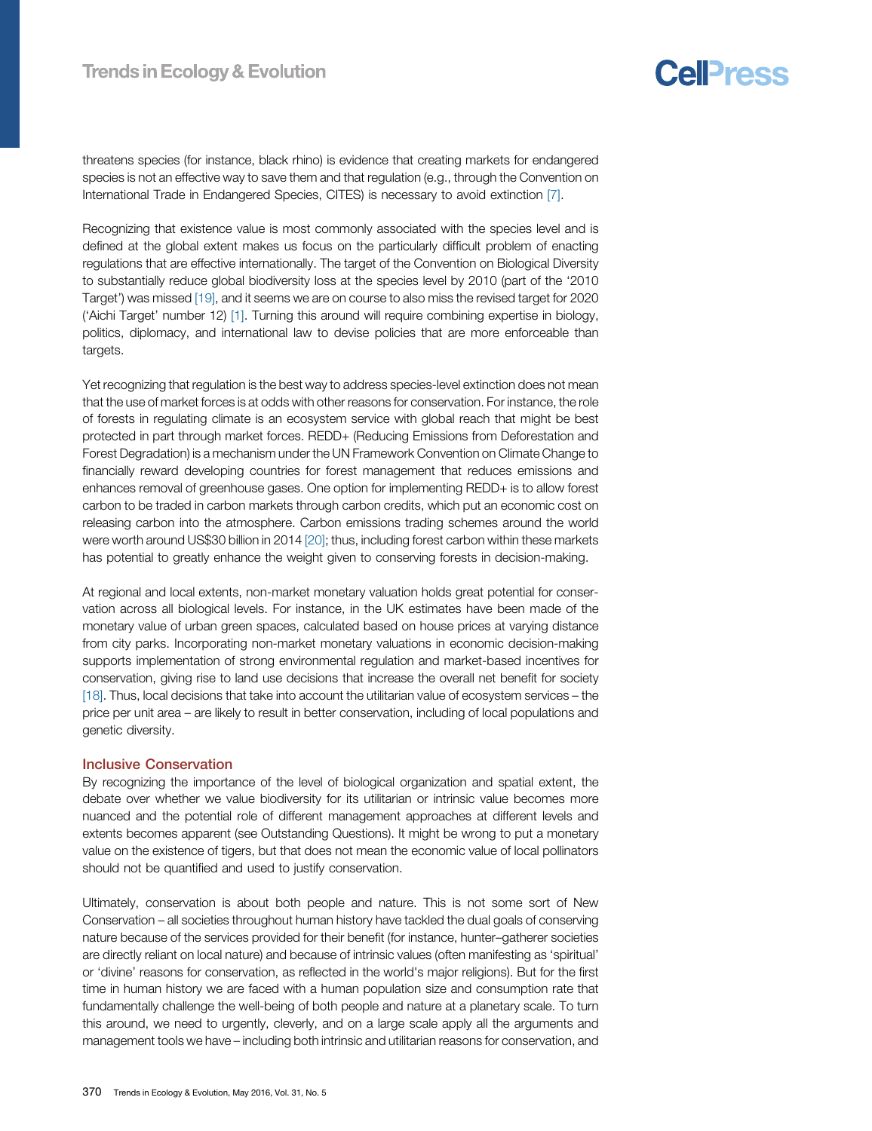

threatens species (for instance, black rhino) is evidence that creating markets for endangered species is not an effective way to save them and that regulation (e.g., through the Convention on International Trade in Endangered Species, CITES) is necessary to avoid extinction [\[7\].](#page-5-0)

Recognizing that existence value is most commonly associated with the species level and is defined at the global extent makes us focus on the particularly difficult problem of enacting regulations that are effective internationally. The target of the Convention on Biological Diversity to substantially reduce global biodiversity loss at the species level by 2010 (part of the '2010 Target') was missed [\[19\],](#page-5-0) and it seems we are on course to also miss the revised target for 2020 ('Aichi Target' number 12) [\[1\]](#page-5-0). Turning this around will require combining expertise in biology, politics, diplomacy, and international law to devise policies that are more enforceable than targets.

Yet recognizing that regulation is the best way to address species-level extinction does not mean that the use of market forces is at odds with other reasons for conservation. For instance, the role of forests in regulating climate is an ecosystem service with global reach that might be best protected in part through market forces. REDD+ (Reducing Emissions from Deforestation and Forest Degradation) is a mechanism under the UN Framework Convention on Climate Change to financially reward developing countries for forest management that reduces emissions and enhances removal of greenhouse gases. One option for implementing REDD+ is to allow forest carbon to be traded in carbon markets through carbon credits, which put an economic cost on releasing carbon into the atmosphere. Carbon emissions trading schemes around the world were worth around US\$30 billion in 2014 [\[20\]](#page-5-0); thus, including forest carbon within these markets has potential to greatly enhance the weight given to conserving forests in decision-making.

At regional and local extents, non-market monetary valuation holds great potential for conservation across all biological levels. For instance, in the UK estimates have been made of the monetary value of urban green spaces, calculated based on house prices at varying distance from city parks. Incorporating non-market monetary valuations in economic decision-making supports implementation of strong environmental regulation and market-based incentives for conservation, giving rise to land use decisions that increase the overall net benefit for society [\[18\]](#page-5-0). Thus, local decisions that take into account the utilitarian value of ecosystem services – the price per unit area – are likely to result in better conservation, including of local populations and genetic diversity.

## Inclusive Conservation

By recognizing the importance of the level of biological organization and spatial extent, the debate over whether we value biodiversity for its utilitarian or intrinsic value becomes more nuanced and the potential role of different management approaches at different levels and extents becomes apparent (see Outstanding Questions). It might be wrong to put a monetary value on the existence of tigers, but that does not mean the economic value of local pollinators should not be quantified and used to justify conservation.

Ultimately, conservation is about both people and nature. This is not some sort of New Conservation – all societies throughout human history have tackled the dual goals of conserving nature because of the services provided for their benefit (for instance, hunter–gatherer societies are directly reliant on local nature) and because of intrinsic values (often manifesting as 'spiritual' or 'divine' reasons for conservation, as reflected in the world's major religions). But for the first time in human history we are faced with a human population size and consumption rate that fundamentally challenge the well-being of both people and nature at a planetary scale. To turn this around, we need to urgently, cleverly, and on a large scale apply all the arguments and management tools we have – including both intrinsic and utilitarian reasons for conservation, and